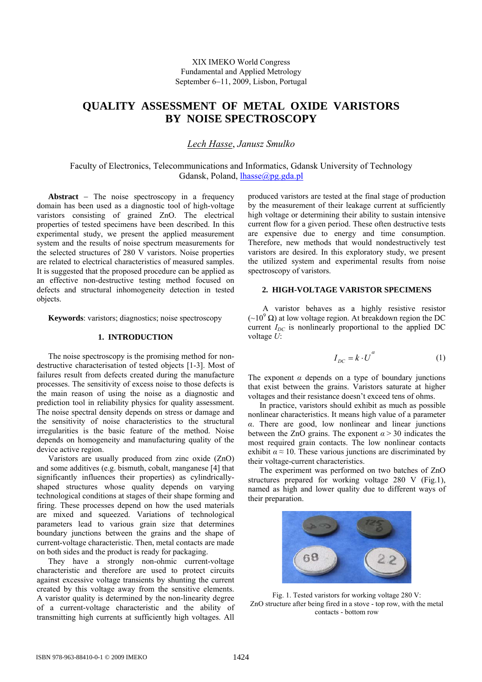# **QUALITY ASSESSMENT OF METAL OXIDE VARISTORS BY NOISE SPECTROSCOPY**

# *Lech Hasse*, *Janusz Smulko*

Faculty of Electronics, Telecommunications and Informatics, Gdansk University of Technology Gdansk, Poland, [lhasse@pg.gda.pl](mailto:lhasse@pg.gda.pl)

**Abstract** − The noise spectroscopy in a frequency domain has been used as a diagnostic tool of high-voltage varistors consisting of grained ZnO. The electrical properties of tested specimens have been described. In this experimental study, we present the applied measurement system and the results of noise spectrum measurements for the selected structures of 280 V varistors. Noise properties are related to electrical characteristics of measured samples. It is suggested that the proposed procedure can be applied as an effective non-destructive testing method focused on defects and structural inhomogeneity detection in tested objects.

**Keywords**: varistors; diagnostics; noise spectroscopy

## **1. INTRODUCTION**

The noise spectroscopy is the promising method for nondestructive characterisation of tested objects [1-3]. Most of failures result from defects created during the manufacture processes. The sensitivity of excess noise to those defects is the main reason of using the noise as a diagnostic and prediction tool in reliability physics for quality assessment. The noise spectral density depends on stress or damage and the sensitivity of noise characteristics to the structural irregularities is the basic feature of the method. Noise depends on homogeneity and manufacturing quality of the device active region.

Varistors are usually produced from zinc oxide (ZnO) and some additives (e.g. bismuth, cobalt, manganese [4] that significantly influences their properties) as cylindricallyshaped structures whose quality depends on varying technological conditions at stages of their shape forming and firing. These processes depend on how the used materials are mixed and squeezed. Variations of technological parameters lead to various grain size that determines boundary junctions between the grains and the shape of current-voltage characteristic. Then, metal contacts are made on both sides and the product is ready for packaging.

They have a strongly non-ohmic current-voltage characteristic and therefore are used to protect circuits against excessive voltage transients by shunting the current created by this voltage away from the sensitive elements. A varistor quality is determined by the non-linearity degree of a current-voltage characteristic and the ability of transmitting high currents at sufficiently high voltages. All

produced varistors are tested at the final stage of production by the measurement of their leakage current at sufficiently high voltage or determining their ability to sustain intensive current flow for a given period. These often destructive tests are expensive due to energy and time consumption. Therefore, new methods that would nondestructively test varistors are desired. In this exploratory study, we present the utilized system and experimental results from noise spectroscopy of varistors.

# **2. HIGH-VOLTAGE VARISTOR SPECIMENS**

A varistor behaves as a highly resistive resistor  $({\sim}10^9 \Omega)$  at low voltage region. At breakdown region the DC current  $I_{DC}$  is nonlinearly proportional to the applied DC voltage *U*:

$$
I_{DC} = k \cdot U^{a} \tag{1}
$$

The exponent  $\alpha$  depends on a type of boundary junctions that exist between the grains. Varistors saturate at higher voltages and their resistance doesn't exceed tens of ohms.

In practice, varistors should exhibit as much as possible nonlinear characteristics. It means high value of a parameter *α*. There are good, low nonlinear and linear junctions between the ZnO grains. The exponent  $\alpha$  > 30 indicates the most required grain contacts. The low nonlinear contacts exhibit  $\alpha \approx 10$ . These various junctions are discriminated by their voltage-current characteristics.

The experiment was performed on two batches of ZnO structures prepared for working voltage 280 V (Fig.1), named as high and lower quality due to different ways of their preparation.



Fig. 1. Tested varistors for working voltage 280 V: ZnO structure after being fired in a stove - top row, with the metal contacts - bottom row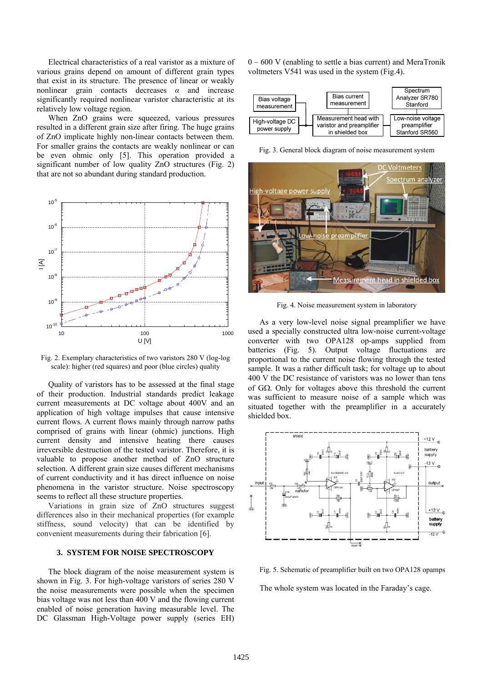Electrical characteristics of a real varistor as a mixture of various grains depend on amount of different grain types that exist in its structure. The presence of linear or weakly nonlinear grain contacts decreases *α* and increase significantly required nonlinear varistor characteristic at its relatively low voltage region.

When ZnO grains were squeezed, various pressures resulted in a different grain size after firing. The huge grains of ZnO implicate highly non-linear contacts between them. For smaller grains the contacts are weakly nonlinear or can be even ohmic only [5]. This operation provided a significant number of low quality ZnO structures (Fig. 2) that are not so abundant during standard production.



Fig. 2. Exemplary characteristics of two varistors 280 V (log-log scale): higher (red squares) and poor (blue circles) quality

Quality of varistors has to be assessed at the final stage of their production. Industrial standards predict leakage current measurements at DC voltage about 400V and an application of high voltage impulses that cause intensive current flows. A current flows mainly through narrow paths comprised of grains with linear (ohmic) junctions. High current density and intensive heating there causes irreversible destruction of the tested varistor. Therefore, it is valuable to propose another method of ZnO structure selection. A different grain size causes different mechanisms of current conductivity and it has direct influence on noise phenomena in the varistor structure. Noise spectroscopy seems to reflect all these structure properties.

Variations in grain size of ZnO structures suggest differences also in their mechanical properties (for example stiffness, sound velocity) that can be identified by convenient measurements during their fabrication [6].

#### **3. SYSTEM FOR NOISE SPECTROSCOPY**

The block diagram of the noise measurement system is shown in Fig. 3. For high-voltage varistors of series 280 V the noise measurements were possible when the specimen bias voltage was not less than 400 V and the flowing current enabled of noise generation having measurable level. The DC Glassman High-Voltage power supply (series EH)

0 – 600 V (enabling to settle a bias current) and MeraTronik voltmeters V541 was used in the system (Fig.4).



Fig. 3. General block diagram of noise measurement system



Fig. 4. Noise measurement system in laboratory

As a very low-level noise signal preamplifier we have used a specially constructed ultra low-noise current-voltage converter with two OPA128 op-amps supplied from batteries (Fig. 5). Output voltage fluctuations are proportional to the current noise flowing through the tested sample. It was a rather difficult task; for voltage up to about 400 V the DC resistance of varistors was no lower than tens of GΩ. Only for voltages above this threshold the current was sufficient to measure noise of a sample which was situated together with the preamplifier in a accurately shielded box.



Fig. 5. Schematic of preamplifier built on two OPA128 opamps The whole system was located in the Faraday's cage.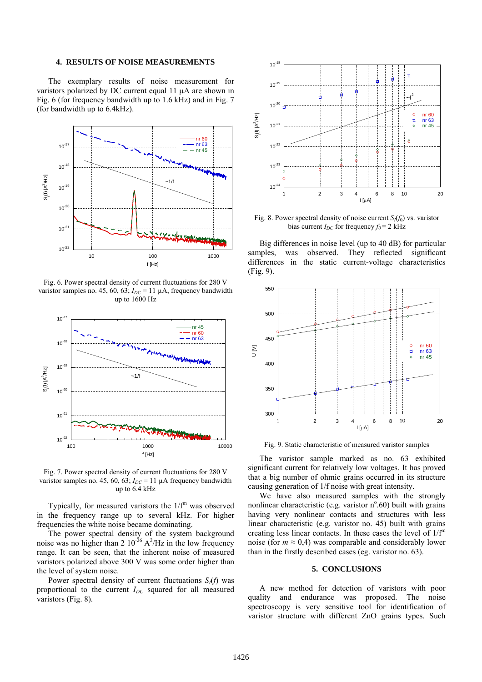## **4. RESULTS OF NOISE MEASUREMENTS**

The exemplary results of noise measurement for varistors polarized by DC current equal 11 µA are shown in Fig. 6 (for frequency bandwidth up to 1.6 kHz) and in Fig. 7 (for bandwidth up to 6.4kHz).



Fig. 6. Power spectral density of current fluctuations for 280 V varistor samples no. 45, 60, 63;  $I_{DC}$  = 11  $\mu$ A, frequency bandwidth up to 1600 Hz



Fig. 7. Power spectral density of current fluctuations for 280 V varistor samples no. 45, 60, 63;  $I_{DC}$  = 11  $\mu$ A frequency bandwidth up to 6.4 kHz

Typically, for measured varistors the  $1/f<sup>m</sup>$  was observed in the frequency range up to several kHz. For higher frequencies the white noise became dominating.

The power spectral density of the system background noise was no higher than 2  $10^{-26}$  A<sup>2</sup>/Hz in the low frequency range. It can be seen, that the inherent noise of measured varistors polarized above 300 V was some order higher than the level of system noise.

Power spectral density of current fluctuations  $S_i(f)$  was proportional to the current *I<sub>DC</sub>* squared for all measured varistors (Fig. 8).



Fig. 8. Power spectral density of noise current  $S_i(f_0)$  vs. varistor bias current  $I_{DC}$  for frequency  $f_0 = 2$  kHz

Big differences in noise level (up to 40 dB) for particular samples, was observed. They reflected significant differences in the static current-voltage characteristics (Fig. 9).



Fig. 9. Static characteristic of measured varistor samples

The varistor sample marked as no. 63 exhibited significant current for relatively low voltages. It has proved that a big number of ohmic grains occurred in its structure causing generation of 1/f noise with great intensity.

We have also measured samples with the strongly nonlinear characteristic (e.g. varistor  $n^{\circ}.60$ ) built with grains having very nonlinear contacts and structures with less linear characteristic (e.g. varistor no. 45) built with grains creating less linear contacts. In these cases the level of  $1/f<sup>m</sup>$ noise (for  $m \approx 0.4$ ) was comparable and considerably lower than in the firstly described cases (eg. varistor no. 63).

## **5. CONCLUSIONS**

A new method for detection of varistors with poor quality and endurance was proposed. The noise spectroscopy is very sensitive tool for identification of varistor structure with different ZnO grains types. Such